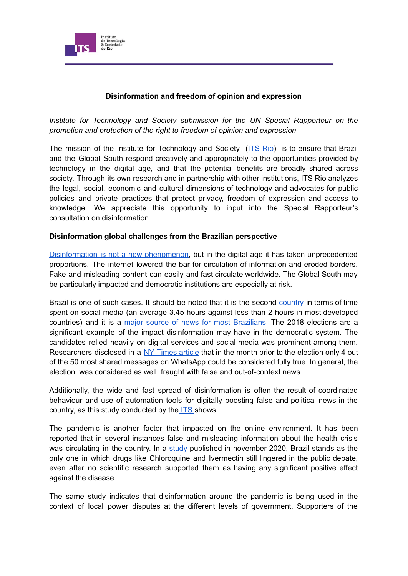

## **Disinformation and freedom of opinion and expression**

*Institute for Technology and Society submission for the UN Special Rapporteur on the promotion and protection of the right to freedom of opinion and expression*

The mission of the Institute for Technology and Society [\(ITS](https://itsrio.org/en/en-home/) Rio) is to ensure that Brazil and the Global South respond creatively and appropriately to the opportunities provided by technology in the digital age, and that the potential benefits are broadly shared across society. Through its own research and in partnership with other institutions, ITS Rio analyzes the legal, social, economic and cultural dimensions of technology and advocates for public policies and private practices that protect privacy, freedom of expression and access to knowledge. We appreciate this opportunity to input into the Special Rapporteur's consultation on disinformation.

#### **Disinformation global challenges from the Brazilian perspective**

[Disinformation](https://itsrio.org/en/publicacoes/dealing-with-disinformation-strategies-for-digital-citizen-empowerment/) is not a new phenomenon, but in the digital age it has taken unprecedented proportions. The internet lowered the bar for circulation of information and eroded borders. Fake and misleading content can easily and fast circulate worldwide. The Global South may be particularly impacted and democratic institutions are especially at risk.

Brazil is one of such cases. It should be noted that it is the second [country](https://www.statista.com/statistics/270229/usage-duration-of-social-networks-by-country/) in terms of time spent on social media (an average 3.45 hours against less than 2 hours in most developed countries) and it is a major source of news for most [Brazilians.](https://www.digitalnewsreport.org/survey/2020/overview-key-findings-2020/) The 2018 elections are a significant example of the impact disinformation may have in the democratic system. The candidates relied heavily on digital services and social media was prominent among them. Researchers disclosed in a NY [Times](https://www.nytimes.com/2018/10/17/opinion/brazil-election-fake-news-whatsapp.html) article that in the month prior to the election only 4 out of the 50 most shared messages on WhatsApp could be considered fully true. In general, the election was considered as well fraught with false and out-of-context news.

Additionally, the wide and fast spread of disinformation is often the result of coordinated behaviour and use of automation tools for digitally boosting false and political news in the country, as this study conducted by the [ITS](https://itsrio.org/wp-content/uploads/2018/10/Poder-Computacional-Relatorio-Whatsapp-Eleicoes-ITS.pdf) shows.

The pandemic is another factor that impacted on the online environment. It has been reported that in several instances false and misleading information about the health crisis was circulating in the country. In a [study](https://laut.org.br/wp-content/uploads/2020/11/Political-Self-Isolation-vF.pdf) published in november 2020, Brazil stands as the only one in which drugs like Chloroquine and Ivermectin still lingered in the public debate, even after no scientific research supported them as having any significant positive effect against the disease.

The same study indicates that disinformation around the pandemic is being used in the context of local power disputes at the different levels of government. Supporters of the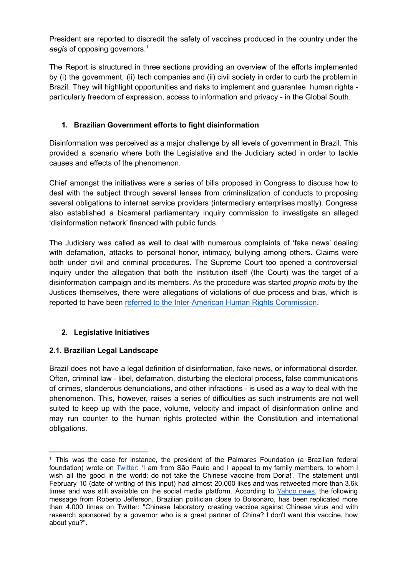President are reported to discredit the safety of vaccines produced in the country under the *aegis* of opposing governors. 1

The Report is structured in three sections providing an overview of the efforts implemented by (i) the government, (ii) tech companies and (ii) civil society in order to curb the problem in Brazil. They will highlight opportunities and risks to implement and guarantee human rights particularly freedom of expression, access to information and privacy - in the Global South.

# **1. Brazilian Government efforts to fight disinformation**

Disinformation was perceived as a major challenge by all levels of government in Brazil. This provided a scenario where both the Legislative and the Judiciary acted in order to tackle causes and effects of the phenomenon.

Chief amongst the initiatives were a series of bills proposed in Congress to discuss how to deal with the subject through several lenses from criminalization of conducts to proposing several obligations to internet service providers (intermediary enterprises mostly). Congress also established a bicameral parliamentary inquiry commission to investigate an alleged 'disinformation network' financed with public funds.

The Judiciary was called as well to deal with numerous complaints of 'fake news' dealing with defamation, attacks to personal honor, intimacy, bullying among others. Claims were both under civil and criminal procedures. The Supreme Court too opened a controversial inquiry under the allegation that both the institution itself (the Court) was the target of a disinformation campaign and its members. As the procedure was started *proprio motu* by the Justices themselves, there were allegations of violations of due process and bias, which is reported to have been referred to the [Inter-American](https://oglobo.globo.com/brasil/ptb-pede-oea-suspensao-de-inqueritos-no-stf-que-investigam-fake-news-atos-antidemocraticos-24594329) Human Rights Commission.

# **2. Legislative Initiatives**

## **2.1. Brazilian Legal Landscape**

Brazil does not have a legal definition of disinformation, fake news, or informational disorder. Often, criminal law - libel, defamation, disturbing the electoral process, false communications of crimes, slanderous denunciations, and other infractions - is used as a way to deal with the phenomenon. This, however, raises a series of difficulties as such instruments are not well suited to keep up with the pace, volume, velocity and impact of disinformation online and may run counter to the human rights protected within the Constitution and international obligations.

 $1$  This was the case for instance, the president of the Palmares Foundation (a Brazilian federal foundation) wrote on [Twitter:](https://twitter.com/sergiodireita1/status/1271285968281075712) 'I am from São Paulo and I appeal to my family members, to whom I wish all the good in the world: do not take the Chinese vaccine from Doria!'. The statement until February 10 (date of writing of this input) had almost 20,000 likes and was retweeted more than 3.6k times and was still available on the social media platform. According to [Yahoo](https://br.noticias.yahoo.com/nas-redes-sociais-apoiadores-bolsonaro-182737405.html) news, the following message from Roberto Jefferson, Brazilian politician close to Bolsonaro, has been replicated more than 4,000 times on Twitter: "Chinese laboratory creating vaccine against Chinese virus and with research sponsored by a governor who is a great partner of China? I don't want this vaccine, how about you?".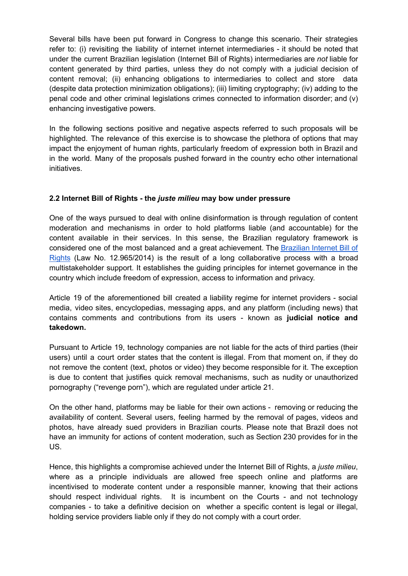Several bills have been put forward in Congress to change this scenario. Their strategies refer to: (i) revisiting the liability of internet internet intermediaries - it should be noted that under the current Brazilian legislation (Internet Bill of Rights) intermediaries are *not* liable for content generated by third parties, unless they do not comply with a judicial decision of content removal; (ii) enhancing obligations to intermediaries to collect and store data (despite data protection minimization obligations); (iii) limiting cryptography; (iv) adding to the penal code and other criminal legislations crimes connected to information disorder; and (v) enhancing investigative powers.

In the following sections positive and negative aspects referred to such proposals will be highlighted. The relevance of this exercise is to showcase the plethora of options that may impact the enjoyment of human rights, particularly freedom of expression both in Brazil and in the world. Many of the proposals pushed forward in the country echo other international initiatives.

## **2.2 Internet Bill of Rights - the** *juste milieu* **may bow under pressure**

One of the ways pursued to deal with online disinformation is through regulation of content moderation and mechanisms in order to hold platforms liable (and accountable) for the content available in their services. In this sense, the Brazilian regulatory framework is considered one of the most balanced and a great achievement. The [Brazilian](https://itsrio.org/wp-content/uploads/2018/02/v5_com-capa__pages_miolo_Brazil-Internet-Bill-of-Rights-A-closer-Look.pdf) Internet Bill of [Rights](https://itsrio.org/wp-content/uploads/2018/02/v5_com-capa__pages_miolo_Brazil-Internet-Bill-of-Rights-A-closer-Look.pdf) (Law No. 12.965/2014) is the result of a long collaborative process with a broad multistakeholder support. It establishes the guiding principles for internet governance in the country which include freedom of expression, access to information and privacy.

Article 19 of the aforementioned bill created a liability regime for internet providers - social media, video sites, encyclopedias, messaging apps, and any platform (including news) that contains comments and contributions from its users - known as **judicial notice and takedown.**

Pursuant to Article 19, technology companies are not liable for the acts of third parties (their users) until a court order states that the content is illegal. From that moment on, if they do not remove the content (text, photos or video) they become responsible for it. The exception is due to content that justifies quick removal mechanisms, such as nudity or unauthorized pornography ("revenge porn"), which are regulated under article 21.

On the other hand, platforms may be liable for their own actions - removing or reducing the availability of content. Several users, feeling harmed by the removal of pages, videos and photos, have already sued providers in Brazilian courts. Please note that Brazil does not have an immunity for actions of content moderation, such as Section 230 provides for in the US.

Hence, this highlights a compromise achieved under the Internet Bill of Rights, a *juste milieu*, where as a principle individuals are allowed free speech online and platforms are incentivised to moderate content under a responsible manner, knowing that their actions should respect individual rights. It is incumbent on the Courts - and not technology companies - to take a definitive decision on whether a specific content is legal or illegal, holding service providers liable only if they do not comply with a court order.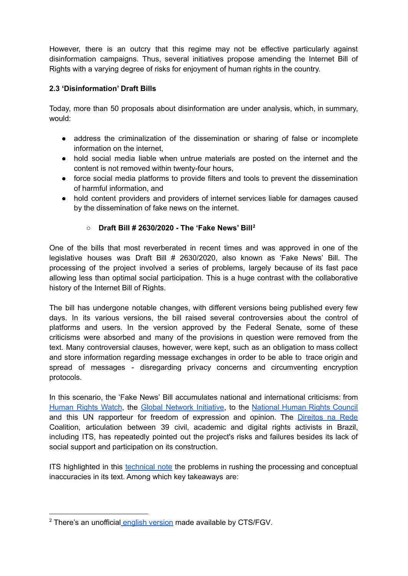However, there is an outcry that this regime may not be effective particularly against disinformation campaigns. Thus, several initiatives propose amending the Internet Bill of Rights with a varying degree of risks for enjoyment of human rights in the country.

# **2.3 'Disinformation' Draft Bills**

Today, more than 50 proposals about disinformation are under analysis, which, in summary, would:

- address the criminalization of the dissemination or sharing of false or incomplete information on the internet,
- hold social media liable when untrue materials are posted on the internet and the content is not removed within twenty-four hours,
- force social media platforms to provide filters and tools to prevent the dissemination of harmful information, and
- hold content providers and providers of internet services liable for damages caused by the dissemination of fake news on the internet.

## **○ Draft Bill # 2630/2020 - The 'Fake News' Bill 2**

One of the bills that most reverberated in recent times and was approved in one of the legislative houses was Draft Bill # 2630/2020, also known as 'Fake News' Bill. The processing of the project involved a series of problems, largely because of its fast pace allowing less than optimal social participation. This is a huge contrast with the collaborative history of the Internet Bill of Rights.

The bill has undergone notable changes, with different versions being published every few days. In its various versions, the bill raised several controversies about the control of platforms and users. In the version approved by the Federal Senate, some of these criticisms were absorbed and many of the provisions in question were removed from the text. Many controversial clauses, however, were kept, such as an obligation to mass collect and store information regarding message exchanges in order to be able to trace origin and spread of messages - disregarding privacy concerns and circumventing encryption protocols.

In this scenario, the 'Fake News' Bill accumulates national and international criticisms: from [Human](https://www.hrw.org/pt/news/2020/06/24/375579) Rights Watch, the Global [Network](https://globalnetworkinitiative.org/gni-concerns-brazil-fake-news-law/) Initiative, to the [National](https://app.rios.org.br/index.php/s/zq76NmPPHCjfMEX) Human Rights Council and this UN rapporteur for freedom of expression and opinion. The [Direitos](http://plfakenews.direitosnarede.org.br/new-disinformation-draft-bill-in-brazil-threatens-freedom-of-expression-and-users-privacy/) na Rede Coalition, articulation between 39 civil, academic and digital rights activists in Brazil, including ITS, has repeatedly pointed out the project's risks and failures besides its lack of social support and participation on its construction.

ITS highlighted in this [technical](https://itsrio.org/wp-content/uploads/2020/06/Nota-Te%CC%81cnica-ITS-PLs-contra-fake-news.pdf) note the problems in rushing the processing and conceptual inaccuracies in its text. Among which key takeaways are:

<sup>&</sup>lt;sup>2</sup> There's an unofficial english [version](http://bit.ly/br_fakenewsbill) made available by [CTS/FGV](https://twitter.com/ivarhartmann/status/1282678963135971334).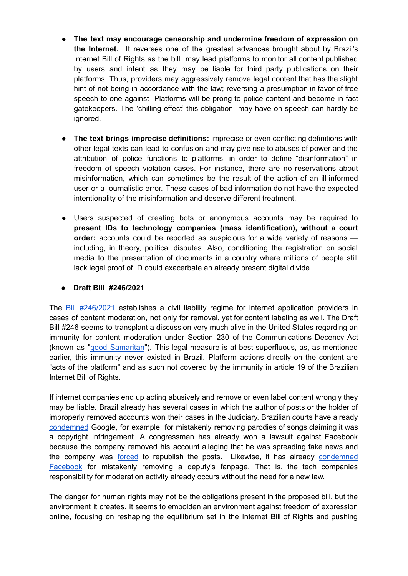- **The text may encourage censorship and undermine freedom of expression on the Internet.** It reverses one of the greatest advances brought about by Brazil's Internet Bill of Rights as the bill may lead platforms to monitor all content published by users and intent as they may be liable for third party publications on their platforms. Thus, providers may aggressively remove legal content that has the slight hint of not being in accordance with the law; reversing a presumption in favor of free speech to one against Platforms will be prong to police content and become in fact gatekeepers. The 'chilling effect' this obligation may have on speech can hardly be ignored.
- **The text brings imprecise definitions:** imprecise or even conflicting definitions with other legal texts can lead to confusion and may give rise to abuses of power and the attribution of police functions to platforms, in order to define "disinformation" in freedom of speech violation cases. For instance, there are no reservations about misinformation, which can sometimes be the result of the action of an ill-informed user or a journalistic error. These cases of bad information do not have the expected intentionality of the misinformation and deserve different treatment.
- Users suspected of creating bots or anonymous accounts may be required to **present IDs to technology companies (mass identification), without a court order:** accounts could be reported as suspicious for a wide variety of reasons including, in theory, political disputes. Also, conditioning the registration on social media to the presentation of documents in a country where millions of people still lack legal proof of ID could exacerbate an already present digital divide.

## **● Draft Bill #246/2021**

The **Bill [#246/2021](https://www.camara.leg.br/proposicoesWeb/fichadetramitacao?idProposicao=2269422)** establishes a civil liability regime for internet application providers in cases of content moderation, not only for removal, yet for content labeling as well. The Draft Bill #246 seems to transplant a discussion very much alive in the United States regarding an immunity for content moderation under Section 230 of the Communications Decency Act (known as "good [Samaritan](https://www.law.cornell.edu/uscode/text/47/230)"). This legal measure is at best superfluous, as, as mentioned earlier, this immunity never existed in Brazil. Platform actions directly on the content are "acts of the platform" and as such not covered by the immunity in article 19 of the Brazilian Internet Bill of Rights.

If internet companies end up acting abusively and remove or even label content wrongly they may be liable. Brazil already has several cases in which the author of posts or the holder of improperly removed accounts won their cases in the Judiciary. Brazilian courts have already [condemned](https://www.jota.info/paywall?redirect_to=//www.jota.info/coberturas-especiais/liberdade-de-expressao/parodia-youtube-google-condenado-09042018) Google, for example, for mistakenly removing parodies of songs claiming it was a copyright infringement. A congressman has already won a lawsuit against Facebook because the company removed his account alleging that he was spreading fake news and the company was [forced](https://www.uol.com.br/tilt/noticias/redacao/2019/12/03/posts-de-novo-no-ar-facebook-perde-para-eduardo-bolsonaro-na-justica.htm) to republish the posts. Likewise, it has already [condemned](https://www.tjdft.jus.br/institucional/imprensa/noticias/2018/julho/turma-mantem-condenacao-do-facebook-por-desativar-pagina-de-deputado) [Facebook](https://www.tjdft.jus.br/institucional/imprensa/noticias/2018/julho/turma-mantem-condenacao-do-facebook-por-desativar-pagina-de-deputado) for mistakenly removing a deputy's fanpage. That is, the tech companies responsibility for moderation activity already occurs without the need for a new law.

The danger for human rights may not be the obligations present in the proposed bill, but the environment it creates. It seems to embolden an environment against freedom of expression online, focusing on reshaping the equilibrium set in the Internet Bill of Rights and pushing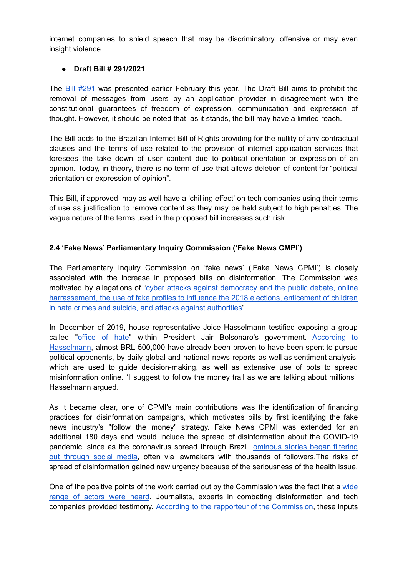internet companies to shield speech that may be discriminatory, offensive or may even insight violence.

### **● Draft Bill # 291/2021**

The Bill [#291](https://www.camara.leg.br/proposicoesWeb/fichadetramitacao?idProposicao=2269506) was presented earlier February this year. The Draft Bill aims to prohibit the removal of messages from users by an application provider in disagreement with the constitutional guarantees of freedom of expression, communication and expression of thought. However, it should be noted that, as it stands, the bill may have a limited reach.

The Bill adds to the Brazilian Internet Bill of Rights providing for the nullity of any contractual clauses and the terms of use related to the provision of internet application services that foresees the take down of user content due to political orientation or expression of an opinion. Today, in theory, there is no term of use that allows deletion of content for "political orientation or expression of opinion".

This Bill, if approved, may as well have a 'chilling effect' on tech companies using their terms of use as justification to remove content as they may be held subject to high penalties. The vague nature of the terms used in the proposed bill increases such risk.

## **2.4 'Fake News' Parliamentary Inquiry Commission ('Fake News CMPI')**

The Parliamentary Inquiry Commission on 'fake news' ('Fake News CPMI') is closely associated with the increase in proposed bills on disinformation. The Commission was motivated by allegations of "cyber attacks against [democracy](https://legis.senado.leg.br/comissoes/comissao?0&codcol=2292) and the public debate, online [harrassement,](https://legis.senado.leg.br/comissoes/comissao?0&codcol=2292) the use of fake profiles to influence the 2018 elections, enticement of children in hate crimes and suicide, and attacks against [authorities"](https://legis.senado.leg.br/comissoes/comissao?0&codcol=2292).

In December of 2019, house representative Joice Hasselmann testified exposing a group called "[office](https://www.zdnet.com/article/fake-news-probe-in-brazil-exposes-office-of-hate-within-government/) of hate" within President Jair Bolsonaro's government. [According](https://opiniao.estadao.com.br/noticias/notas-e-informacoes,a-cpmi-das-fake-news,70003233521) to [Hasselmann](https://opiniao.estadao.com.br/noticias/notas-e-informacoes,a-cpmi-das-fake-news,70003233521), almost BRL 500,000 have already been proven to have been spent to pursue political opponents, by daily global and national news reports as well as sentiment analysis, which are used to guide decision-making, as well as extensive use of bots to spread misinformation online. 'I suggest to follow the money trail as we are talking about millions', Hasselmann argued.

As it became clear, one of CPMI's main contributions was the identification of financing practices for disinformation campaigns, which motivates bills by first identifying the fake news industry's "follow the money" strategy. Fake News CPMI was extended for an additional 180 days and would include the spread of disinformation about the COVID-19 pandemic, since as the coronavirus spread through Brazil, [ominous](https://laut.org.br/en/contaminated-science/) stories began filtering out [through](https://laut.org.br/en/contaminated-science/) social media, often via lawmakers with thousands of followers.The risks of spread of disinformation gained new urgency because of the seriousness of the health issue.

One of the positive points of the work carried out by the Commission was the fact that a [wide](https://legis.senado.leg.br/comissoes/audiencias?1&codcol=2292) range of [actors](https://legis.senado.leg.br/comissoes/audiencias?1&codcol=2292) were heard. Journalists, experts in combating disinformation and tech companies provided testimony. According to the rapporteur of the [Commission,](https://www.camara.leg.br/noticias/697452-relatora-da-cpmi-das-fake-news-elogia-acoes-do-tse-de-combate-a-desinformacao/) these inputs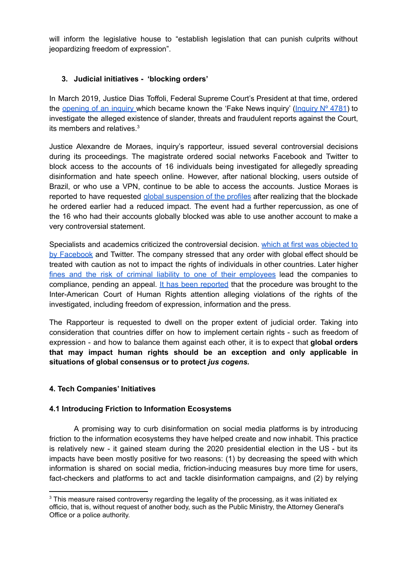will inform the legislative house to "establish legislation that can punish culprits without jeopardizing freedom of expression".

## **3. Judicial initiatives - 'blocking orders'**

In March 2019, Justice Dias Toffoli, Federal Supreme Court's President at that time, ordered the [opening](http://www.stf.jus.br/portal/cms/verNoticiaDetalhe.asp?idConteudo=406357) of an inquiry which became known the 'Fake News inquiry' [\(Inquiry](http://portal.stf.jus.br/processos/detalhe.asp?incidente=5651823)  $N^{\circ}$  4781) to investigate the alleged existence of slander, threats and fraudulent reports against the Court, its members and relatives. 3

Justice Alexandre de Moraes, inquiry's rapporteur, issued several controversial decisions during its proceedings. The magistrate ordered social networks Facebook and Twitter to block access to the accounts of 16 individuals being investigated for allegedly spreading disinformation and hate speech online. However, after national blocking, users outside of Brazil, or who use a VPN, continue to be able to access the accounts. Justice Moraes is reported to have requested global [suspension](https://www.dw.com/en/brazil-top-court-sets-precedent-by-banning-global-access-to-social-media-accounts/a-54452807) of the profiles after realizing that the blockade he ordered earlier had a reduced impact. The event had a further repercussion, as one of the 16 who had their accounts globally blocked was able to use another account to make a very controversial statement.

Specialists and academics criticized the controversial decision. which at first was [objected](https://olhardigital.com.br/en/2020/07/31/news/facebook-will-not-block-global-access-to-fake-news-survey-accounts/amp/) to by [Facebook](https://olhardigital.com.br/en/2020/07/31/news/facebook-will-not-block-global-access-to-fake-news-survey-accounts/amp/) and Twitter. The company stressed that any order with global effect should be treated with caution as not to impact the rights of individuals in other countries. Later higher fines and the risk of criminal liability to one of their [employees](https://www.reuters.com/article/uk-facebook-brazil/facebook-puts-global-block-on-brazils-bolsonaro-supporters-idUKKBN24X3XO?edition-redirect=uk) lead the companies to compliance, pending an appeal. It has been [reported](https://oglobo.globo.com/brasil/ptb-pede-oea-suspensao-de-inqueritos-no-stf-que-investigam-fake-news-atos-antidemocraticos-24594329) that the procedure was brought to the Inter-American Court of Human Rights attention alleging violations of the rights of the investigated, including freedom of expression, information and the press.

The Rapporteur is requested to dwell on the proper extent of judicial order. Taking into consideration that countries differ on how to implement certain rights - such as freedom of expression - and how to balance them against each other, it is to expect that **global orders that may impact human rights should be an exception and only applicable in situations of global consensus or to protect** *jus cogens.*

#### **4. Tech Companies' Initiatives**

#### **4.1 Introducing Friction to Information Ecosystems**

A promising way to curb disinformation on social media platforms is by introducing friction to the information ecosystems they have helped create and now inhabit. This practice is relatively new - it gained steam during the 2020 presidential election in the US - but its impacts have been mostly positive for two reasons: (1) by decreasing the speed with which information is shared on social media, friction-inducing measures buy more time for users, fact-checkers and platforms to act and tackle disinformation campaigns, and (2) by relying

<sup>&</sup>lt;sup>3</sup> This measure raised controversy regarding the legality of the processing, as it was initiated ex officio, that is, without request of another body, such as the Public Ministry, the Attorney General's Office or a police authority.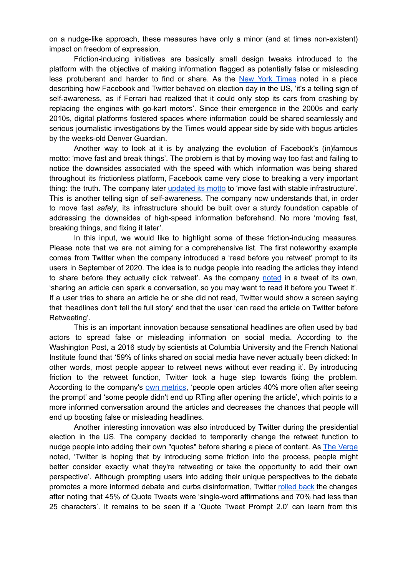on a nudge-like approach, these measures have only a minor (and at times non-existent) impact on freedom of expression.

Friction-inducing initiatives are basically small design tweaks introduced to the platform with the objective of making information flagged as potentially false or misleading less protuberant and harder to find or share. As the New York [Times](http://nytimes.com/2020/11/05/technology/facebook-twitter-election.html) noted in a piece describing how Facebook and Twitter behaved on election day in the US, 'it's a telling sign of self-awareness, as if Ferrari had realized that it could only stop its cars from crashing by replacing the engines with go-kart motors'. Since their emergence in the 2000s and early 2010s, digital platforms fostered spaces where information could be shared seamlessly and serious journalistic investigations by the Times would appear side by side with bogus articles by the weeks-old Denver Guardian.

Another way to look at it is by analyzing the evolution of Facebook's (in)famous motto: 'move fast and break things'. The problem is that by moving way too fast and failing to notice the downsides associated with the speed with which information was being shared throughout its frictionless platform, Facebook came very close to breaking a very important thing: the truth. The company later [updated](https://www.businessinsider.com/mark-zuckerberg-on-facebooks-new-motto-2014-5) its motto to 'move fast with stable infrastructure'. This is another telling sign of self-awareness. The company now understands that, in order to move fast *safely*, its infrastructure should be built over a sturdy foundation capable of addressing the downsides of high-speed information beforehand. No more 'moving fast, breaking things, and fixing it later'.

In this input, we would like to highlight some of these friction-inducing measures. Please note that we are not aiming for a comprehensive list. The first noteworthy example comes from Twitter when the company introduced a 'read before you retweet' prompt to its users in September of 2020. The idea is to nudge people into reading the articles they intend to share before they actually click 'retweet'. As the company [noted](https://www.theverge.com/2020/9/25/21455635/twitter-read-before-you-tweet-article-prompt-rolling-out-globally-soon) in a tweet of its own, 'sharing an article can spark a conversation, so you may want to read it before you Tweet it'. If a user tries to share an article he or she did not read, Twitter would show a screen saying that 'headlines don't tell the full story' and that the user 'can read the article on Twitter before Retweeting'.

This is an important innovation because sensational headlines are often used by bad actors to spread false or misleading information on social media. According to the Washington Post, a 2016 study by scientists at Columbia University and the French National Institute found that '59% of links shared on social media have never actually been clicked: In other words, most people appear to retweet news without ever reading it'. By introducing friction to the retweet function, Twitter took a huge step towards fixing the problem. According to the company's own [metrics](https://www.theverge.com/2020/9/25/21455635/twitter-read-before-you-tweet-article-prompt-rolling-out-globally-soon), 'people open articles 40% more often after seeing the prompt' and 'some people didn't end up RTing after opening the article', which points to a more informed conversation around the articles and decreases the chances that people will end up boosting false or misleading headlines.

Another interesting innovation was also introduced by Twitter during the presidential election in the US. The company decided to temporarily change the retweet function to nudge people into adding their own "quotes" before sharing a piece of content. As The [Verge](http://theverge.com/21524092/twitter-temporarily-changing-retweet-quote-tweet-election) noted, 'Twitter is hoping that by introducing some friction into the process, people might better consider exactly what they're retweeting or take the opportunity to add their own perspective'. Although prompting users into adding their unique perspectives to the debate promotes a more informed debate and curbs disinformation, Twitter [rolled](https://www.theverge.com/2020/12/16/22179634/twitter-retweets-return-revert-quote-tweet-prompt) back the changes after noting that 45% of Quote Tweets were 'single-word affirmations and 70% had less than 25 characters'. It remains to be seen if a 'Quote Tweet Prompt 2.0' can learn from this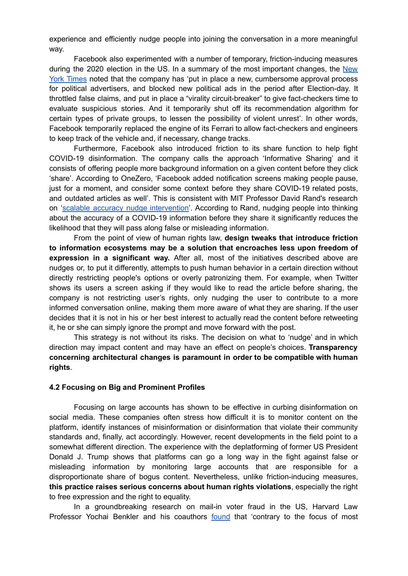experience and efficiently nudge people into joining the conversation in a more meaningful way.

Facebook also experimented with a number of temporary, friction-inducing measures during the 2020 election in the US. In a summary of the most important changes, the [New](http://nytimes.com/2020/11/05/technology/facebook-twitter-election.html) York [Times](http://nytimes.com/2020/11/05/technology/facebook-twitter-election.html) noted that the company has 'put in place a new, cumbersome approval process for political advertisers, and blocked new political ads in the period after Election-day. It throttled false claims, and put in place a "virality circuit-breaker" to give fact-checkers time to evaluate suspicious stories. And it temporarily shut off its recommendation algorithm for certain types of private groups, to lessen the possibility of violent unrest'. In other words, Facebook temporarily replaced the engine of its Ferrari to allow fact-checkers and engineers to keep track of the vehicle and, if necessary, change tracks.

Furthermore, Facebook also introduced friction to its share function to help fight COVID-19 disinformation. The company calls the approach 'Informative Sharing' and it consists of offering people more background information on a given content before they click 'share'. According to OneZero, 'Facebook added notification screens making people pause, just for a moment, and consider some context before they share COVID-19 related posts, and outdated articles as well'. This is consistent with MIT Professor David Rand's research on 'scalable accuracy nudge [intervention'](https://news.mit.edu/2020/share-covid-19-misinformation-0709). According to Rand, nudging people into thinking about the accuracy of a COVID-19 information before they share it significantly reduces the likelihood that they will pass along false or misleading information.

From the point of view of human rights law, **design tweaks that introduce friction to information ecosystems may be a solution that encroaches less upon freedom of expression in a significant way.** After all, most of the initiatives described above are nudges or, to put it differently, attempts to push human behavior in a certain direction without directly restricting people's options or overly patronizing them. For example, when Twitter shows its users a screen asking if they would like to read the article before sharing, the company is not restricting user's rights, only nudging the user to contribute to a more informed conversation online, making them more aware of what they are sharing. If the user decides that it is not in his or her best interest to actually read the content before retweeting it, he or she can simply ignore the prompt and move forward with the post.

This strategy is not without its risks. The decision on what to 'nudge' and in which direction may impact content and may have an effect on people's choices. **Transparency concerning architectural changes is paramount in order to be compatible with human rights**.

#### **4.2 Focusing on Big and Prominent Profiles**

Focusing on large accounts has shown to be effective in curbing disinformation on social media. These companies often stress how difficult it is to monitor content on the platform, identify instances of misinformation or disinformation that violate their community standards and, finally, act accordingly. However, recent developments in the field point to a somewhat different direction. The experience with the deplatforming of former US President Donald J. Trump shows that platforms can go a long way in the fight against false or misleading information by monitoring large accounts that are responsible for a disproportionate share of bogus content. Nevertheless, unlike friction-inducing measures, **this practice raises serious concerns about human rights violations**, especially the right to free expression and the right to equality.

In a groundbreaking research on mail-in voter fraud in the US, Harvard Law Professor Yochai Benkler and his coauthors [found](https://cyber.harvard.edu/publication/2020/Mail-in-Voter-Fraud-Disinformation-2020) that 'contrary to the focus of most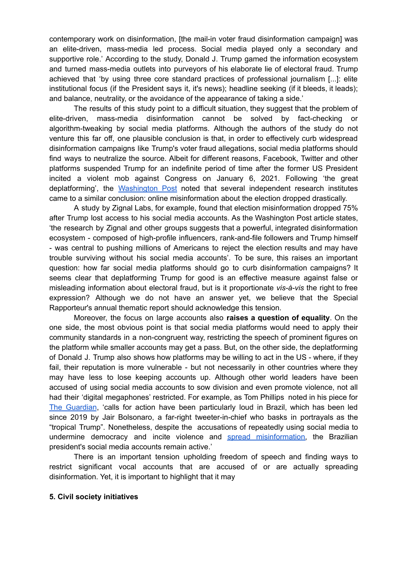contemporary work on disinformation, [the mail-in voter fraud disinformation campaign] was an elite-driven, mass-media led process. Social media played only a secondary and supportive role.' According to the study, Donald J. Trump gamed the information ecosystem and turned mass-media outlets into purveyors of his elaborate lie of electoral fraud. Trump achieved that 'by using three core standard practices of professional journalism [...]: elite institutional focus (if the President says it, it's news); headline seeking (if it bleeds, it leads); and balance, neutrality, or the avoidance of the appearance of taking a side.'

The results of this study point to a difficult situation, they suggest that the problem of elite-driven, mass-media disinformation cannot be solved by fact-checking or algorithm-tweaking by social media platforms. Although the authors of the study do not venture this far off, one plausible conclusion is that, in order to effectively curb widespread disinformation campaigns like Trump's voter fraud allegations, social media platforms should find ways to neutralize the source. Albeit for different reasons, Facebook, Twitter and other platforms suspended Trump for an indefinite period of time after the former US President incited a violent mob against Congress on January 6, 2021. Following 'the great deplatforming', the [Washington](http://washingtonpost.com/technology/2021/01/16/misinformation-trump-twitter) Post noted that several independent research institutes came to a similar conclusion: online misinformation about the election dropped drastically.

A study by Zignal Labs, for example, found that election misinformation dropped 75% after Trump lost access to his social media accounts. As the Washington Post article states, 'the research by Zignal and other groups suggests that a powerful, integrated disinformation ecosystem - composed of high-profile influencers, rank-and-file followers and Trump himself - was central to pushing millions of Americans to reject the election results and may have trouble surviving without his social media accounts'. To be sure, this raises an important question: how far social media platforms should go to curb disinformation campaigns? It seems clear that deplatforming Trump for good is an effective measure against false or misleading information about electoral fraud, but is it proportionate *vis-à-vis* the right to free expression? Although we do not have an answer yet, we believe that the Special Rapporteur's annual thematic report should acknowledge this tension.

Moreover, the focus on large accounts also **raises a question of equality**. On the one side, the most obvious point is that social media platforms would need to apply their community standards in a non-congruent way, restricting the speech of prominent figures on the platform while smaller accounts may get a pass. But, on the other side, the deplatforming of Donald J. Trump also shows how platforms may be willing to act in the US - where, if they fail, their reputation is more vulnerable - but not necessarily in other countries where they may have less to lose keeping accounts up. Although other world leaders have been accused of using social media accounts to sow division and even promote violence, not all had their 'digital megaphones' restricted. For example, as Tom Phillips noted in his piece for The [Guardian](https://www.theguardian.com/media/2021/jan/17/trump-social-media-ban-jair-bolsonaro-narendra-modi), 'calls for action have been particularly loud in Brazil, which has been led since 2019 by Jair [Bolsonaro](https://www.theguardian.com/world/jair-bolsonaro), a far-right tweeter-in-chief who basks in portrayals as the "tropical Trump". Nonetheless, despite the accusations of repeatedly using social media to undermine democracy and incite violence and spread [misinformation,](https://www.businessinsider.com/twitter-trump-banned-bolsonaro-modi-india-brazil-populists-2021-1) the Brazilian president's social media accounts remain active.'

There is an important tension upholding freedom of speech and finding ways to restrict significant vocal accounts that are accused of or are actually spreading disinformation. Yet, it is important to highlight that it may

#### **5. Civil society initiatives**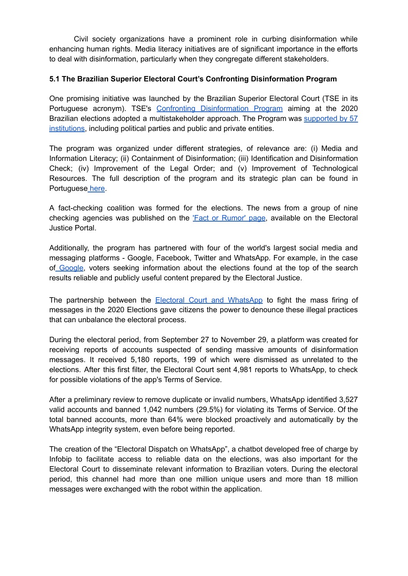Civil society organizations have a prominent role in curbing disinformation while enhancing human rights. Media literacy initiatives are of significant importance in the efforts to deal with disinformation, particularly when they congregate different stakeholders.

## **5.1 The Brazilian Superior Electoral Court's Confronting Disinformation Program**

One promising initiative was launched by the Brazilian Superior Electoral Court (TSE in its Portuguese acronym). TSE's Confronting [Disinformation](https://www.tse.jus.br/imprensa/noticias-tse/2019/Agosto/tse-lanca-programa-de-enfrentamento-a-desinformacao-com-foco-nas-eleicoes-2020) Program aiming at the 2020 Brazilian elections adopted a multistakeholder approach. The Program was [supported](https://www.tse.jus.br/imprensa/noticias-tse/2020/Outubro/parceria-contra-a-desinformacao-reune-57-instituicoes-publicas-e-privadas) by 57 [institutions,](https://www.tse.jus.br/imprensa/noticias-tse/2020/Outubro/parceria-contra-a-desinformacao-reune-57-instituicoes-publicas-e-privadas) including political parties and public and private entities.

The program was organized under different strategies, of relevance are: (i) Media and Information Literacy; (ii) Containment of Disinformation; (iii) Identification and Disinformation Check; (iv) Improvement of the Legal Order; and (v) Improvement of Technological Resources. The full description of the program and its strategic plan can be found in Portuguese [here](https://www.justicaeleitoral.jus.br/desinformacao/arquivos/Programa_de_enfrentamento_web.pdf).

A fact-checking coalition was formed for the elections. The news from a group of nine checking agencies was published on the 'Fact or [Rumor'](https://www.justicaeleitoral.jus.br/fato-ou-boato/#) page, available on the Electoral Justice Portal.

Additionally, the program has partnered with four of the world's largest social media and messaging platforms - Google, Facebook, Twitter and WhatsApp. For example, in the case of [Google,](https://www.tse.jus.br/imprensa/noticias-tse/2020/Outubro/tse-firma-parceria-com-google-para-combater-desinformacao-nas-eleicoes-2020) voters seeking information about the elections found at the top of the search results reliable and publicly useful content prepared by the Electoral Justice.

The partnership between the **Electoral Court and [WhatsApp](https://www.tse.jus.br/imprensa/noticias-tse/2020/Dezembro/tse-e-whatsapp-apresentam-resultados-da-parceria-para-combate-a-desinformacao-apos-as-eleicoes-2020)** to fight the mass firing of messages in the 2020 Elections gave citizens the power to denounce these illegal practices that can unbalance the electoral process.

During the electoral period, from September 27 to November 29, a platform was created for receiving reports of accounts suspected of sending massive amounts of disinformation messages. It received 5,180 reports, 199 of which were dismissed as unrelated to the elections. After this first filter, the Electoral Court sent 4,981 reports to WhatsApp, to check for possible violations of the app's Terms of Service.

After a preliminary review to remove duplicate or invalid numbers, WhatsApp identified 3,527 valid accounts and banned 1,042 numbers (29.5%) for violating its Terms of Service. Of the total banned accounts, more than 64% were blocked proactively and automatically by the WhatsApp integrity system, even before being reported.

The creation of the "Electoral Dispatch on WhatsApp", a chatbot developed free of charge by Infobip to facilitate access to reliable data on the elections, was also important for the Electoral Court to disseminate relevant information to Brazilian voters. During the electoral period, this channel had more than one million unique users and more than 18 million messages were exchanged with the robot within the application.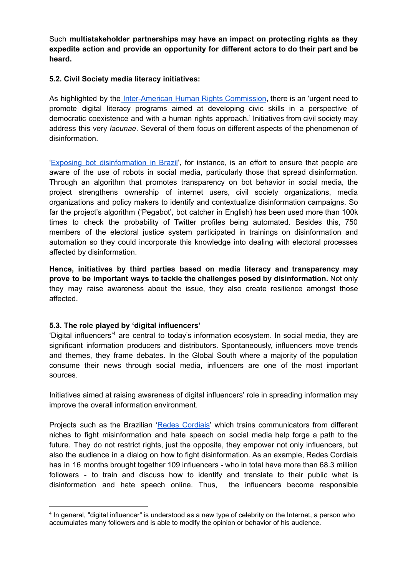Such **multistakeholder partnerships may have an impact on protecting rights as they expedite action and provide an opportunity for different actors to do their part and be heard.**

#### **5.2. Civil Society media literacy initiatives:**

As highlighted by the [Inter-American](http://www.oas.org/es/cidh/jsForm/?File=/es/cidh/prensa/comunicados/2021/026.asp) Human Rights Commission, there is an 'urgent need to promote digital literacy programs aimed at developing civic skills in a perspective of democratic coexistence and with a human rights approach.' Initiatives from civil society may address this very *lacunae*. Several of them focus on different aspects of the phenomenon of disinformation.

'Exposing bot [disinformation](https://pegabot.com.br/) in Brazil', for instance, is an effort to ensure that people are aware of the use of robots in social media, particularly those that spread disinformation. Through an algorithm that promotes transparency on bot behavior in social media, the project strengthens ownership of internet users, civil society organizations, media organizations and policy makers to identify and contextualize disinformation campaigns. So far the project's algorithm ('Pegabot', bot catcher in English) has been used more than 100k times to check the probability of Twitter profiles being automated. Besides this, 750 members of the electoral justice system participated in trainings on disinformation and automation so they could incorporate this knowledge into dealing with electoral processes affected by disinformation.

**Hence, initiatives by third parties based on media literacy and transparency may prove to be important ways to tackle the challenges posed by disinformation.** Not only they may raise awareness about the issue, they also create resilience amongst those affected.

### **5.3. The role played by 'digital influencers'**

'Digital influencers' <sup>4</sup> are central to today's information ecosystem. In social media, they are significant information producers and distributors. Spontaneously, influencers move trends and themes, they frame debates. In the Global South where a majority of the population consume their news through social media, influencers are one of the most important sources.

Initiatives aimed at raising awareness of digital influencers' role in spreading information may improve the overall information environment.

Projects such as the Brazilian 'Redes [Cordiais'](https://www.redescordiais.com.br/) which trains communicators from different niches to fight misinformation and hate speech on social media help forge a path to the future. They do not restrict rights, just the opposite, they empower not only influencers, but also the audience in a dialog on how to fight disinformation. As an example, Redes Cordiais has in 16 months brought together 109 influencers - who in total have more than 68.3 million followers - to train and discuss how to identify and translate to their public what is disinformation and hate speech online. Thus, the influencers become responsible

<sup>4</sup> In general, "digital influencer" is understood as a new type of celebrity on the Internet, a person who accumulates many followers and is able to modify the opinion or behavior of his audience.